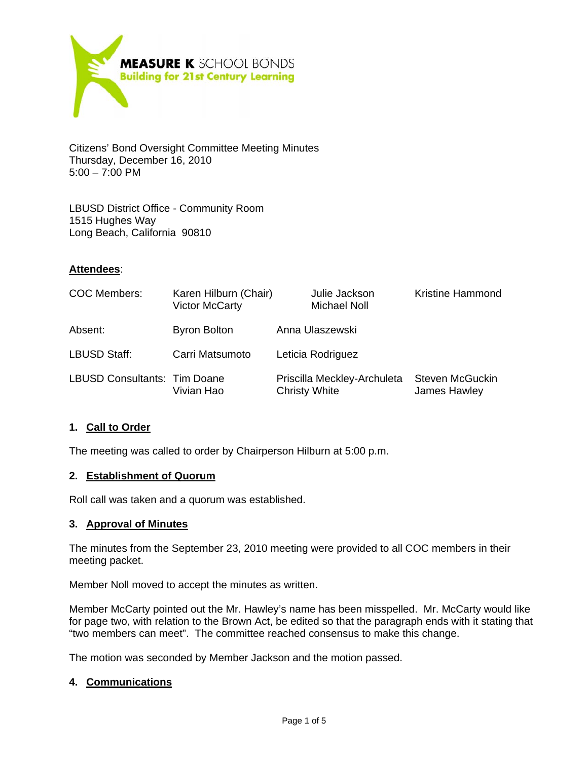

Citizens' Bond Oversight Committee Meeting Minutes Thursday, December 16, 2010  $5:00 - 7:00$  PM

LBUSD District Office - Community Room 1515 Hughes Way Long Beach, California 90810

## **Attendees**:

| COC Members:                        | Karen Hilburn (Chair)<br><b>Victor McCarty</b> | Julie Jackson<br><b>Michael Noll</b>                | <b>Kristine Hammond</b>                |
|-------------------------------------|------------------------------------------------|-----------------------------------------------------|----------------------------------------|
| Absent:                             | <b>Byron Bolton</b>                            | Anna Ulaszewski                                     |                                        |
| <b>LBUSD Staff:</b>                 | Carri Matsumoto                                | Leticia Rodriguez                                   |                                        |
| <b>LBUSD Consultants: Tim Doane</b> | Vivian Hao                                     | Priscilla Meckley-Archuleta<br><b>Christy White</b> | <b>Steven McGuckin</b><br>James Hawley |

#### **1. Call to Order**

The meeting was called to order by Chairperson Hilburn at 5:00 p.m.

#### **2. Establishment of Quorum**

Roll call was taken and a quorum was established.

#### **3. Approval of Minutes**

The minutes from the September 23, 2010 meeting were provided to all COC members in their meeting packet.

Member Noll moved to accept the minutes as written.

Member McCarty pointed out the Mr. Hawley's name has been misspelled. Mr. McCarty would like for page two, with relation to the Brown Act, be edited so that the paragraph ends with it stating that "two members can meet". The committee reached consensus to make this change.

The motion was seconded by Member Jackson and the motion passed.

#### **4. Communications**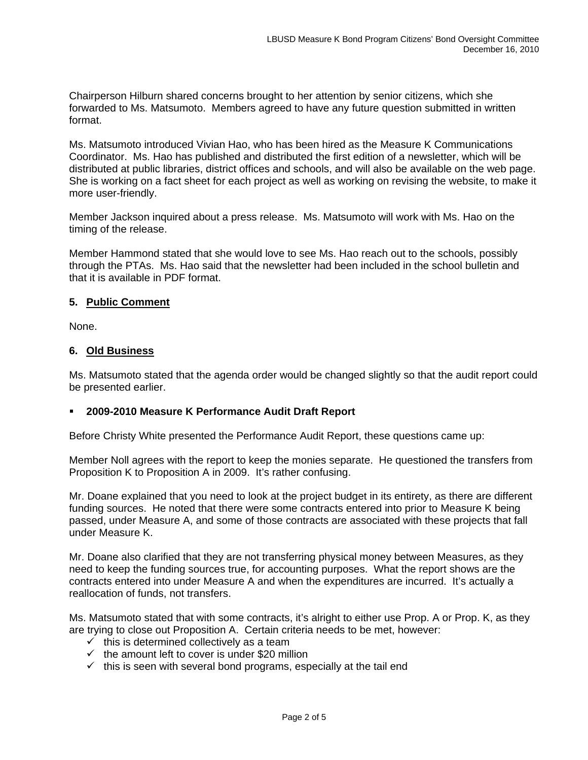Chairperson Hilburn shared concerns brought to her attention by senior citizens, which she forwarded to Ms. Matsumoto. Members agreed to have any future question submitted in written format.

Ms. Matsumoto introduced Vivian Hao, who has been hired as the Measure K Communications Coordinator. Ms. Hao has published and distributed the first edition of a newsletter, which will be distributed at public libraries, district offices and schools, and will also be available on the web page. She is working on a fact sheet for each project as well as working on revising the website, to make it more user-friendly.

Member Jackson inquired about a press release. Ms. Matsumoto will work with Ms. Hao on the timing of the release.

Member Hammond stated that she would love to see Ms. Hao reach out to the schools, possibly through the PTAs. Ms. Hao said that the newsletter had been included in the school bulletin and that it is available in PDF format.

## **5. Public Comment**

None.

### **6. Old Business**

Ms. Matsumoto stated that the agenda order would be changed slightly so that the audit report could be presented earlier.

## **2009-2010 Measure K Performance Audit Draft Report**

Before Christy White presented the Performance Audit Report, these questions came up:

Member Noll agrees with the report to keep the monies separate. He questioned the transfers from Proposition K to Proposition A in 2009. It's rather confusing.

Mr. Doane explained that you need to look at the project budget in its entirety, as there are different funding sources. He noted that there were some contracts entered into prior to Measure K being passed, under Measure A, and some of those contracts are associated with these projects that fall under Measure K.

Mr. Doane also clarified that they are not transferring physical money between Measures, as they need to keep the funding sources true, for accounting purposes. What the report shows are the contracts entered into under Measure A and when the expenditures are incurred. It's actually a reallocation of funds, not transfers.

Ms. Matsumoto stated that with some contracts, it's alright to either use Prop. A or Prop. K, as they are trying to close out Proposition A. Certain criteria needs to be met, however:

- $\checkmark$  this is determined collectively as a team
- $\checkmark$  the amount left to cover is under \$20 million
- $\checkmark$  this is seen with several bond programs, especially at the tail end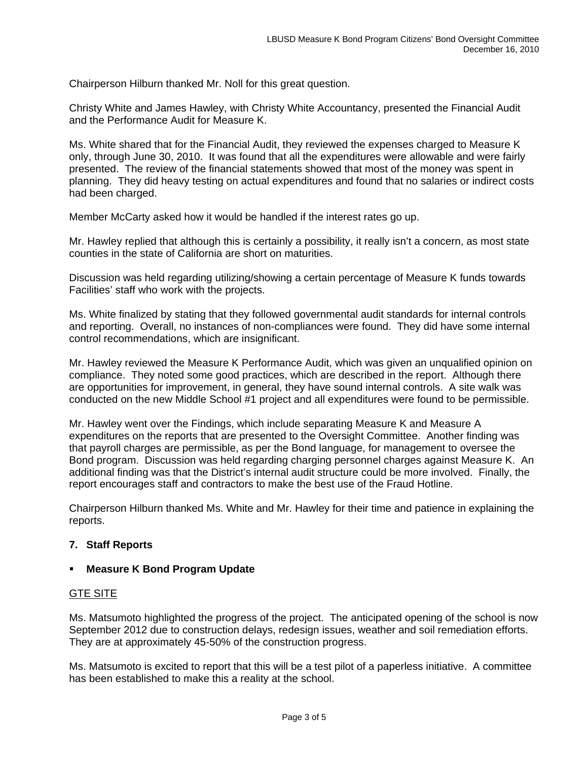Chairperson Hilburn thanked Mr. Noll for this great question.

Christy White and James Hawley, with Christy White Accountancy, presented the Financial Audit and the Performance Audit for Measure K.

Ms. White shared that for the Financial Audit, they reviewed the expenses charged to Measure K only, through June 30, 2010. It was found that all the expenditures were allowable and were fairly presented. The review of the financial statements showed that most of the money was spent in planning. They did heavy testing on actual expenditures and found that no salaries or indirect costs had been charged.

Member McCarty asked how it would be handled if the interest rates go up.

Mr. Hawley replied that although this is certainly a possibility, it really isn't a concern, as most state counties in the state of California are short on maturities.

Discussion was held regarding utilizing/showing a certain percentage of Measure K funds towards Facilities' staff who work with the projects.

Ms. White finalized by stating that they followed governmental audit standards for internal controls and reporting. Overall, no instances of non-compliances were found. They did have some internal control recommendations, which are insignificant.

Mr. Hawley reviewed the Measure K Performance Audit, which was given an unqualified opinion on compliance. They noted some good practices, which are described in the report. Although there are opportunities for improvement, in general, they have sound internal controls. A site walk was conducted on the new Middle School #1 project and all expenditures were found to be permissible.

Mr. Hawley went over the Findings, which include separating Measure K and Measure A expenditures on the reports that are presented to the Oversight Committee. Another finding was that payroll charges are permissible, as per the Bond language, for management to oversee the Bond program. Discussion was held regarding charging personnel charges against Measure K. An additional finding was that the District's internal audit structure could be more involved. Finally, the report encourages staff and contractors to make the best use of the Fraud Hotline.

Chairperson Hilburn thanked Ms. White and Mr. Hawley for their time and patience in explaining the reports.

## **7. Staff Reports**

#### **Measure K Bond Program Update**

#### GTE SITE

Ms. Matsumoto highlighted the progress of the project. The anticipated opening of the school is now September 2012 due to construction delays, redesign issues, weather and soil remediation efforts. They are at approximately 45-50% of the construction progress.

Ms. Matsumoto is excited to report that this will be a test pilot of a paperless initiative. A committee has been established to make this a reality at the school.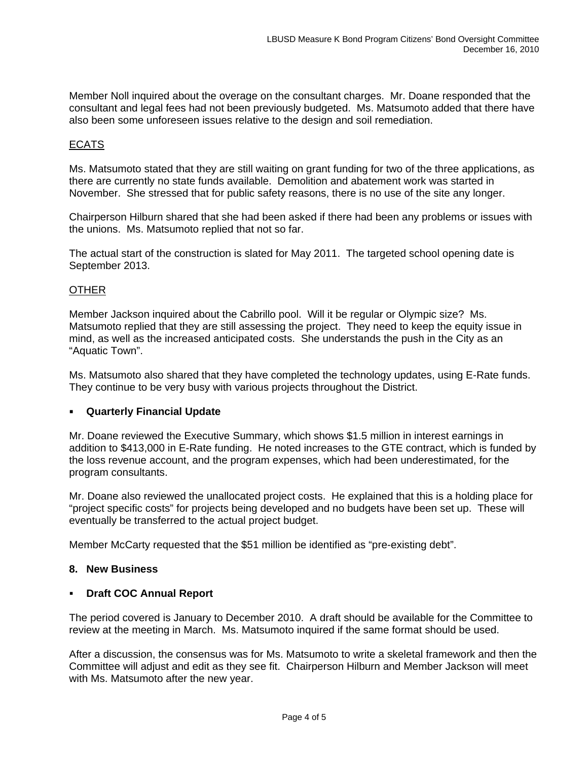Member Noll inquired about the overage on the consultant charges. Mr. Doane responded that the consultant and legal fees had not been previously budgeted. Ms. Matsumoto added that there have also been some unforeseen issues relative to the design and soil remediation.

# ECATS

Ms. Matsumoto stated that they are still waiting on grant funding for two of the three applications, as there are currently no state funds available. Demolition and abatement work was started in November. She stressed that for public safety reasons, there is no use of the site any longer.

Chairperson Hilburn shared that she had been asked if there had been any problems or issues with the unions. Ms. Matsumoto replied that not so far.

The actual start of the construction is slated for May 2011. The targeted school opening date is September 2013.

## **OTHER**

Member Jackson inquired about the Cabrillo pool. Will it be regular or Olympic size? Ms. Matsumoto replied that they are still assessing the project. They need to keep the equity issue in mind, as well as the increased anticipated costs. She understands the push in the City as an "Aquatic Town".

Ms. Matsumoto also shared that they have completed the technology updates, using E-Rate funds. They continue to be very busy with various projects throughout the District.

## **Quarterly Financial Update**

Mr. Doane reviewed the Executive Summary, which shows \$1.5 million in interest earnings in addition to \$413,000 in E-Rate funding. He noted increases to the GTE contract, which is funded by the loss revenue account, and the program expenses, which had been underestimated, for the program consultants.

Mr. Doane also reviewed the unallocated project costs. He explained that this is a holding place for "project specific costs" for projects being developed and no budgets have been set up. These will eventually be transferred to the actual project budget.

Member McCarty requested that the \$51 million be identified as "pre-existing debt".

## **8. New Business**

## **Draft COC Annual Report**

The period covered is January to December 2010. A draft should be available for the Committee to review at the meeting in March. Ms. Matsumoto inquired if the same format should be used.

After a discussion, the consensus was for Ms. Matsumoto to write a skeletal framework and then the Committee will adjust and edit as they see fit. Chairperson Hilburn and Member Jackson will meet with Ms. Matsumoto after the new year.